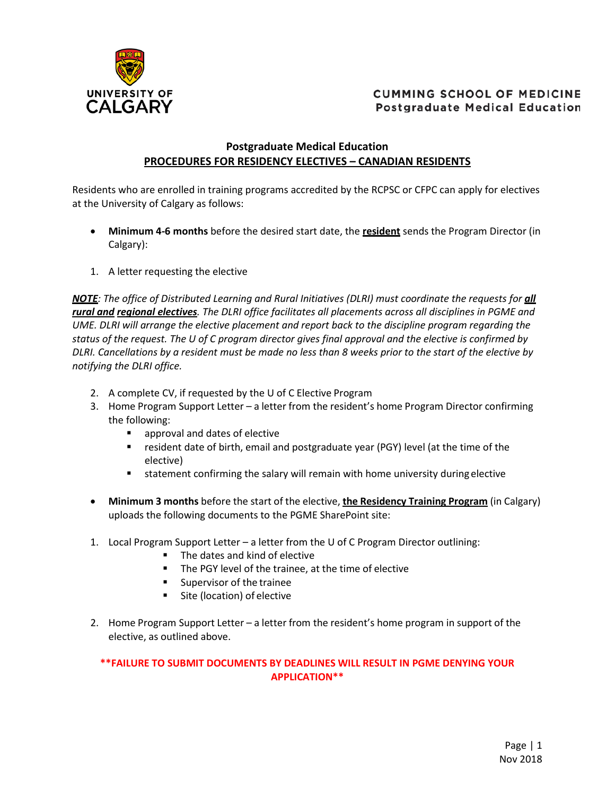

## **CUMMING SCHOOL OF MEDICINE Postgraduate Medical Education**

## **Postgraduate Medical Education PROCEDURES FOR RESIDENCY ELECTIVES – CANADIAN RESIDENTS**

Residents who are enrolled in training programs accredited by the RCPSC or CFPC can apply for electives at the University of Calgary as follows:

- **Minimum 4-6 months** before the desired start date, the **resident** sends the Program Director (in Calgary):
- 1. A letter requesting the elective

*NOTE*<sup>*: The office of Distributed Learning and Rural Initiatives (DLRI) must coordinate the requests for <i>all*</sup> *rural and regional electives. The DLRI office facilitates all placements across all disciplines in PGME and UME. DLRI will arrange the elective placement and report back to the discipline program regarding the status of the request. The U of C program director gives final approval and the elective is confirmed by DLRI. Cancellations by a resident must be made no less than 8 weeks prior to the start of the elective by notifying the DLRI office.*

- 2. A complete CV, if requested by the U of C Elective Program
- 3. Home Program Support Letter a letter from the resident's home Program Director confirming the following:
	- **EXECUTE:** approval and dates of elective
	- **F** resident date of birth, email and postgraduate year (PGY) level (at the time of the elective)
	- statement confirming the salary will remain with home university during elective
- **Minimum 3 months** before the start of the elective, **the Residency Training Program** (in Calgary) uploads the following documents to the PGME SharePoint site:
- 1. Local Program Support Letter a letter from the U of C Program Director outlining:
	- The dates and kind of elective
	- **The PGY level of the trainee, at the time of elective**
	- **Supervisor of the trainee**
	- Site (location) of elective
- 2. Home Program Support Letter a letter from the resident's home program in support of the elective, as outlined above.

**\*\*FAILURE TO SUBMIT DOCUMENTS BY DEADLINES WILL RESULT IN PGME DENYING YOUR APPLICATION\*\***